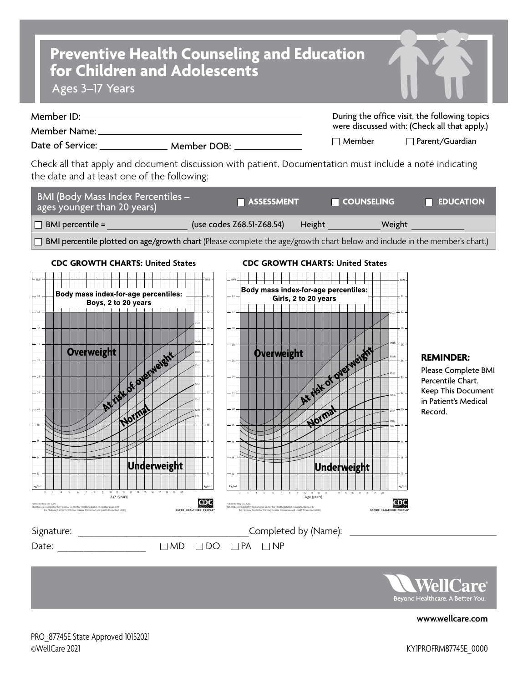## **Preventive Health Counseling and Education for Children and Adolescents**

Ages 3–17 Years

| Member ID:       |             | During the office visit, the following topics |                        |
|------------------|-------------|-----------------------------------------------|------------------------|
| Member Name:     |             | were discussed with: (Check all that apply.)  |                        |
| Date of Service: | Member DOB: | $\sqcap$ Member                               | $\Box$ Parent/Guardian |

Check all that apply and document discussion with patient. Documentation must include a note indicating the date and at least one of the following:

| <b>BMI (Body Mass Index Percentiles -</b><br>ages younger than 20 years) | <b>NASSESSMENT</b>        |        | <b>TE COUNSELING</b> | <b>EDUCATION</b> |
|--------------------------------------------------------------------------|---------------------------|--------|----------------------|------------------|
| $\Box$ BMI percentile =                                                  | (use codes Z68.51-Z68.54) | Height | Weight               |                  |

BMI percentile plotted on age/growth chart (Please complete the age/growth chart below and include in the member's chart.)





**[www.wellcare.com](https://www.wellcare.com)**